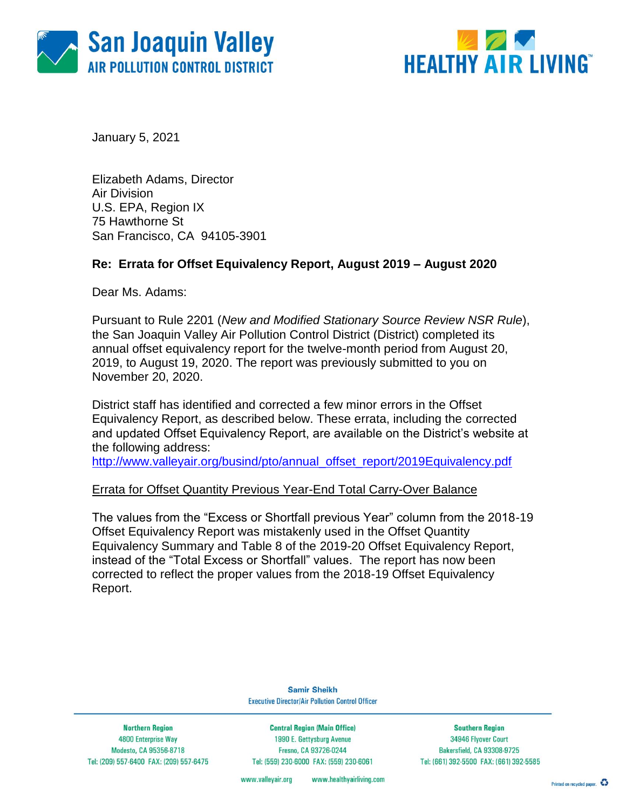



January 5, 2021

Elizabeth Adams, Director Air Division U.S. EPA, Region IX 75 Hawthorne St San Francisco, CA 94105-3901

## **Re: Errata for Offset Equivalency Report, August 2019 – August 2020**

Dear Ms. Adams:

Pursuant to Rule 2201 (*New and Modified Stationary Source Review NSR Rule*), the San Joaquin Valley Air Pollution Control District (District) completed its annual offset equivalency report for the twelve-month period from August 20, 2019, to August 19, 2020. The report was previously submitted to you on November 20, 2020.

District staff has identified and corrected a few minor errors in the Offset Equivalency Report, as described below. These errata, including the corrected and updated Offset Equivalency Report, are available on the District's website at the following address:

[http://www.valleyair.org/busind/pto/annual\\_offset\\_report/2019Equivalency.pdf](http://www.valleyair.org/busind/pto/annual_offset_report/2019Equivalency.pdf)

### Errata for Offset Quantity Previous Year-End Total Carry-Over Balance

The values from the "Excess or Shortfall previous Year" column from the 2018-19 Offset Equivalency Report was mistakenly used in the Offset Quantity Equivalency Summary and Table 8 of the 2019-20 Offset Equivalency Report, instead of the "Total Excess or Shortfall" values. The report has now been corrected to reflect the proper values from the 2018-19 Offset Equivalency Report.

> **Samir Sheikh Executive Director/Air Pollution Control Officer**

**Northern Region 4800 Enterprise Way** Modesto, CA 95356-8718 Tel: (209) 557-6400 FAX: (209) 557-6475

**Central Region (Main Office)** 1990 E. Gettysburg Avenue Fresno, CA 93726-0244 Tel: (559) 230-6000 FAX: (559) 230-6061

**Southern Region** 34946 Flyover Court Bakersfield, CA 93308-9725 Tel: (661) 392-5500 FAX: (661) 392-5585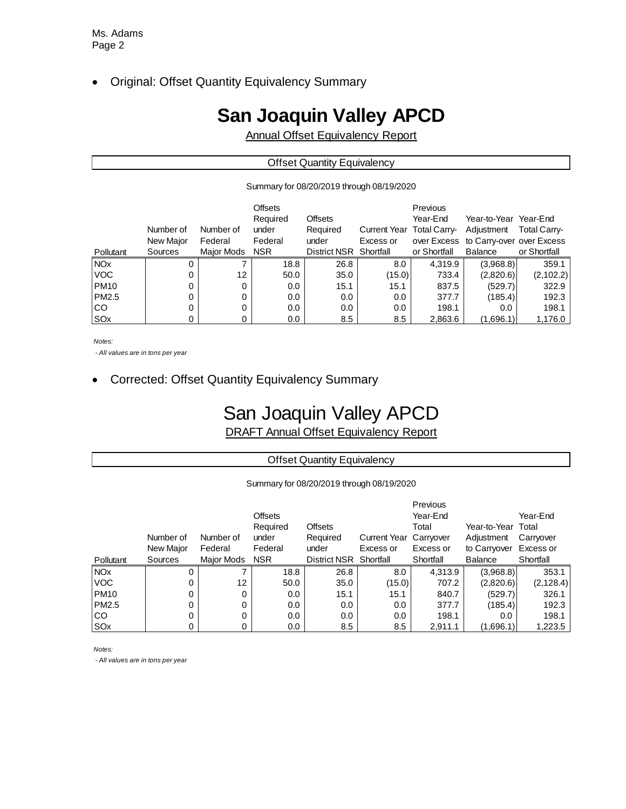Original: Offset Quantity Equivalency Summary

# **San Joaquin Valley APCD**

Annual Offset Equivalency Report

| <b>Offset Quantity Equivalency</b> |  |
|------------------------------------|--|
|                                    |  |

Summary for 08/20/2019 through 08/19/2020

| Pollutant             | Number of<br>New Major<br>Sources | Number of<br>Federal<br>Major Mods | <b>Offsets</b><br>Required<br>under<br>Federal<br><b>NSR</b> | <b>Offsets</b><br>Required<br>under<br>District NSR Shortfall | Current Year Total Carry-<br>Excess or | Previous<br>Year-End<br>or Shortfall | Year-to-Year Year-End<br>Adjustment<br>over Excess to Carry-over over Excess<br>Balance | <b>Total Carry-</b><br>or Shortfall |
|-----------------------|-----------------------------------|------------------------------------|--------------------------------------------------------------|---------------------------------------------------------------|----------------------------------------|--------------------------------------|-----------------------------------------------------------------------------------------|-------------------------------------|
| <b>NO<sub>x</sub></b> | 0                                 |                                    | 18.8                                                         | 26.8                                                          | 8.0                                    | 4.319.9                              | (3,968.8)                                                                               | 359.1                               |
| <b>VOC</b>            | 0                                 | 12                                 | 50.0                                                         | 35.0                                                          | (15.0)                                 | 733.4                                | (2,820.6)                                                                               | (2, 102.2)                          |
| <b>PM10</b>           |                                   | 0                                  | 0.0                                                          | 15.1                                                          | 15.1                                   | 837.5                                | (529.7)                                                                                 | 322.9                               |
| PM2.5                 | 0                                 | 0                                  | 0.0                                                          | 0.0                                                           | 0.0                                    | 377.7                                | (185.4)                                                                                 | 192.3                               |
| <b>ICO</b>            |                                   | 0                                  | 0.0                                                          | 0.0                                                           | 0.0                                    | 198.1                                | 0.0                                                                                     | 198.1                               |
| SOx                   |                                   | 0                                  | 0.0                                                          | 8.5                                                           | 8.5                                    | 2,863.6                              | (1,696.1)                                                                               | 1,176.0                             |

*Notes:*

 *- All values are in tons per year*

Corrected: Offset Quantity Equivalency Summary

## San Joaquin Valley APCD

DRAFT Annual Offset Equivalency Report

Offset Quantity Equivalency

#### Summary for 08/20/2019 through 08/19/2020

|             |           |                   |                |                |                               | Previous  |                    |            |
|-------------|-----------|-------------------|----------------|----------------|-------------------------------|-----------|--------------------|------------|
|             |           |                   | <b>Offsets</b> |                |                               | Year-End  |                    | Year-End   |
|             |           |                   | Required       | <b>Offsets</b> |                               | Total     | Year-to-Year Total |            |
|             | Number of | Number of         | under          | Required       | <b>Current Year Carryover</b> |           | Adjustment         | Carryover  |
|             | New Major | Federal           | Federal        | under          | Excess or                     | Excess or | to Carryover       | Excess or  |
| Pollutant   | Sources   | <b>Major Mods</b> | <b>NSR</b>     | District NSR   | Shortfall                     | Shortfall | <b>Balance</b>     | Shortfall  |
| <b>NOx</b>  | 0         |                   | 18.8           | 26.8           | 8.0                           | 4,313.9   | (3,968.8)          | 353.1      |
| <b>VOC</b>  | 0         | $12 \overline{ }$ | 50.0           | 35.0           | (15.0)                        | 707.2     | (2,820.6)          | (2, 128.4) |
| <b>PM10</b> | 0         | 0                 | 0.0            | 15.1           | 15.1                          | 840.7     | (529.7)            | 326.1      |
| PM2.5       | 0         | 0                 | 0.0            | 0.0            | 0.0                           | 377.7     | (185.4)            | 192.3      |
| CO          |           | 0                 | 0.0            | 0.0            | 0.0                           | 198.1     | 0.0                | 198.1      |
| SOx         |           |                   | $0.0\,$        | 8.5            | 8.5                           | 2,911.1   | (1,696.1)          | 1,223.5    |

*Notes:*

 *- All values are in tons per year*